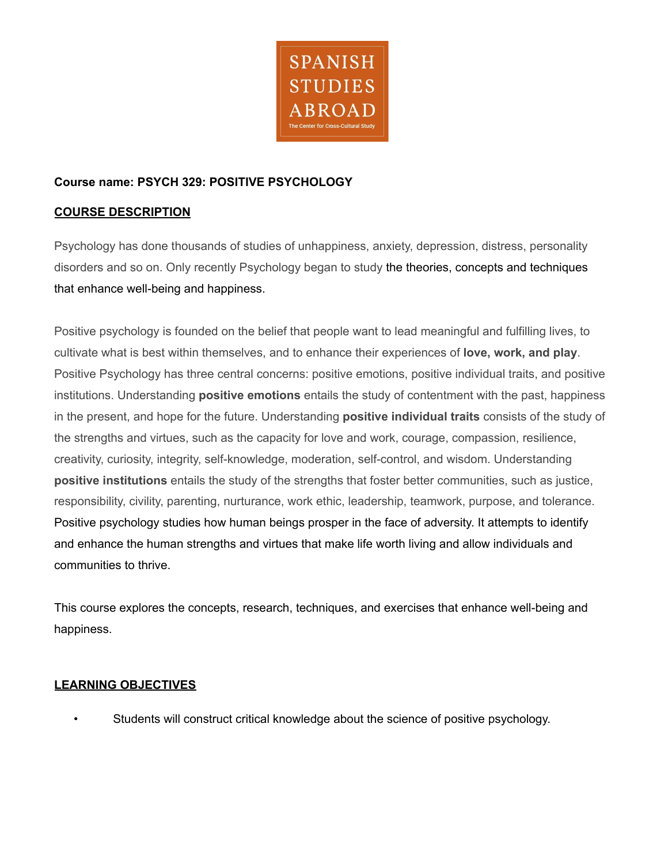

# **Course name: PSYCH 329: POSITIVE PSYCHOLOGY**

# **COURSE DESCRIPTION**

Psychology has done thousands of studies of unhappiness, anxiety, depression, distress, personality disorders and so on. Only recently Psychology began to study the theories, concepts and techniques that enhance well-being and happiness.

Positive psychology is founded on the belief that people want to lead meaningful and fulfilling lives, to cultivate what is best within themselves, and to enhance their experiences of **love, work, and play**. Positive Psychology has three central concerns: positive emotions, positive individual traits, and positive institutions. Understanding **positive emotions** entails the study of contentment with the past, happiness in the present, and hope for the future. Understanding **positive individual traits** consists of the study of the strengths and virtues, such as the capacity for love and work, courage, compassion, resilience, creativity, curiosity, integrity, self-knowledge, moderation, self-control, and wisdom. Understanding **positive institutions** entails the study of the strengths that foster better communities, such as justice, responsibility, civility, parenting, nurturance, work ethic, leadership, teamwork, purpose, and tolerance. Positive psychology studies how human beings prosper in the face of adversity. It attempts to identify and enhance the human strengths and virtues that make life worth living and allow individuals and communities to thrive.

This course explores the concepts, research, techniques, and exercises that enhance well-being and happiness.

## **LEARNING OBJECTIVES**

Students will construct critical knowledge about the science of positive psychology.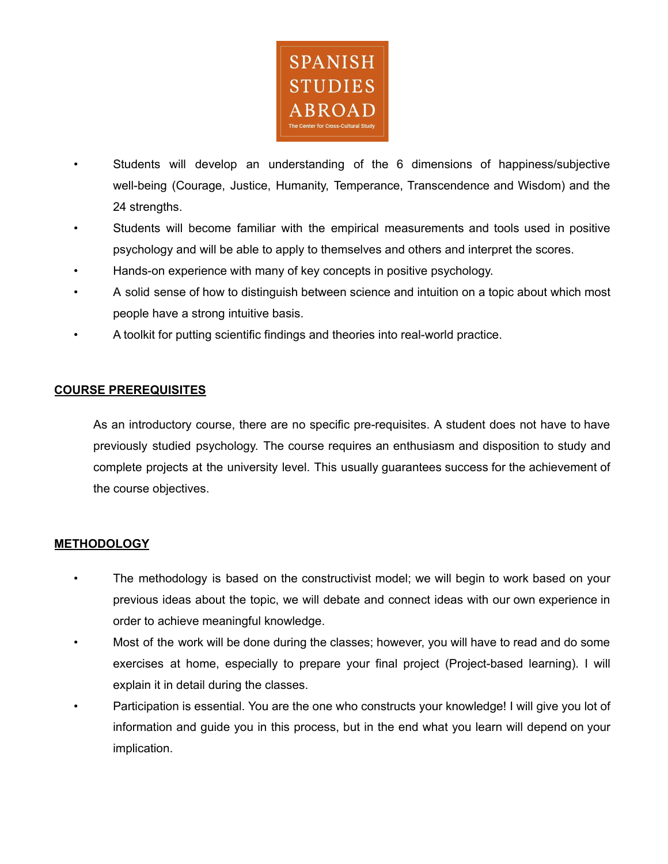

- Students will develop an understanding of the 6 dimensions of happiness/subjective well-being (Courage, Justice, Humanity, Temperance, Transcendence and Wisdom) and the 24 strengths.
- Students will become familiar with the empirical measurements and tools used in positive psychology and will be able to apply to themselves and others and interpret the scores.
- Hands-on experience with many of key concepts in positive psychology.
- A solid sense of how to distinguish between science and intuition on a topic about which most people have a strong intuitive basis.
- A toolkit for putting scientific findings and theories into real-world practice.

### **COURSE PREREQUISITES**

As an introductory course, there are no specific pre-requisites. A student does not have to have previously studied psychology. The course requires an enthusiasm and disposition to study and complete projects at the university level. This usually guarantees success for the achievement of the course objectives.

#### **METHODOLOGY**

- The methodology is based on the constructivist model; we will begin to work based on your previous ideas about the topic, we will debate and connect ideas with our own experience in order to achieve meaningful knowledge.
- Most of the work will be done during the classes; however, you will have to read and do some exercises at home, especially to prepare your final project (Project-based learning). I will explain it in detail during the classes.
- Participation is essential. You are the one who constructs your knowledge! I will give you lot of information and guide you in this process, but in the end what you learn will depend on your implication.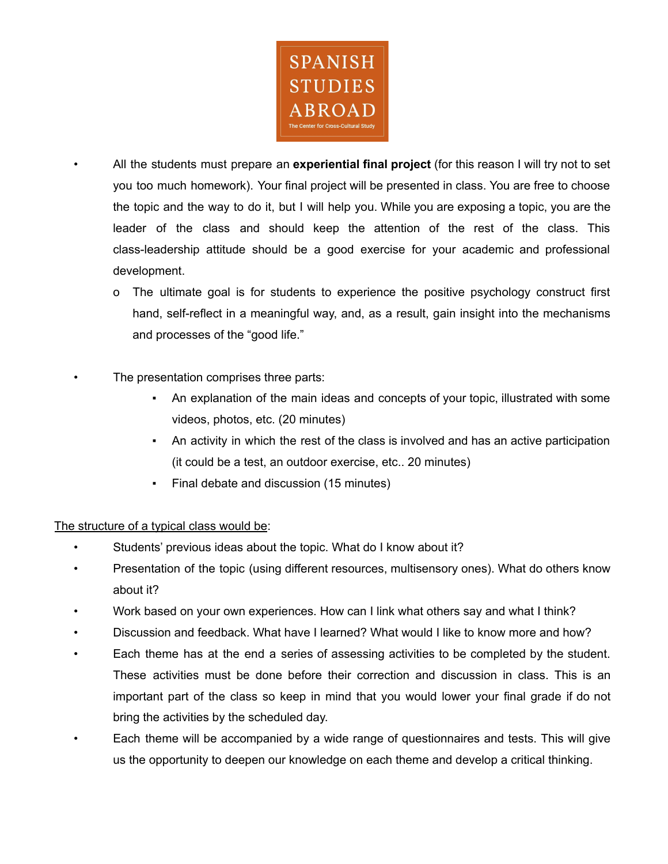

- All the students must prepare an **experiential final project** (for this reason I will try not to set you too much homework). Your final project will be presented in class. You are free to choose the topic and the way to do it, but I will help you. While you are exposing a topic, you are the leader of the class and should keep the attention of the rest of the class. This class-leadership attitude should be a good exercise for your academic and professional development.
- o The ultimate goal is for students to experience the positive psychology construct first hand, self-reflect in a meaningful way, and, as a result, gain insight into the mechanisms and processes of the "good life."
- The presentation comprises three parts:
	- An explanation of the main ideas and concepts of your topic, illustrated with some videos, photos, etc. (20 minutes)
	- An activity in which the rest of the class is involved and has an active participation (it could be a test, an outdoor exercise, etc.. 20 minutes)
	- Final debate and discussion (15 minutes)

## The structure of a typical class would be:

- Students' previous ideas about the topic. What do I know about it?
- Presentation of the topic (using different resources, multisensory ones). What do others know about it?
- Work based on your own experiences. How can I link what others say and what I think?
- Discussion and feedback. What have I learned? What would I like to know more and how?
- Each theme has at the end a series of assessing activities to be completed by the student. These activities must be done before their correction and discussion in class. This is an important part of the class so keep in mind that you would lower your final grade if do not bring the activities by the scheduled day.
- Each theme will be accompanied by a wide range of questionnaires and tests. This will give us the opportunity to deepen our knowledge on each theme and develop a critical thinking.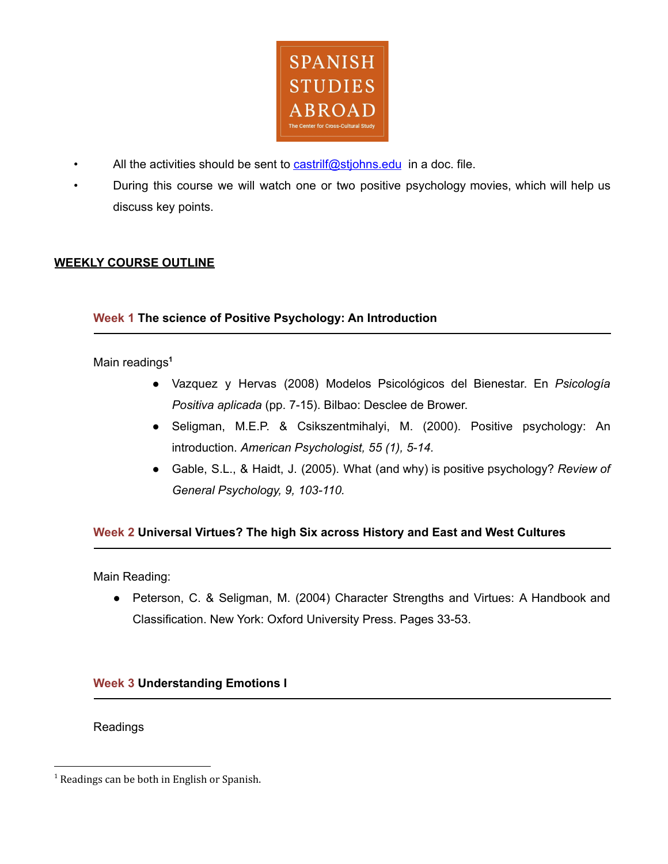

- All the activities should be sent to  $c$  astrilf@stiohns.edu in a doc. file.
- During this course we will watch one or two positive psychology movies, which will help us discuss key points.

# **WEEKLY COURSE OUTLINE**

## **Week 1 The science of Positive Psychology: An Introduction**

Main readings **1**

- *●* Vazquez y Hervas (2008) Modelos Psicológicos del Bienestar. En *Psicología Positiva aplicada* (pp. 7-15). Bilbao: Desclee de Brower.
- *●* Seligman, M.E.P. & Csikszentmihalyi, M. (2000). Positive psychology: An introduction. *American Psychologist, 55 (1), 5-14.*
- *●* Gable, S.L., & Haidt, J. (2005). What (and why) is positive psychology? *Review of General Psychology, 9, 103-110.*

## **Week 2 Universal Virtues? The high Six across History and East and West Cultures**

Main Reading:

● Peterson, C. & Seligman, M. (2004) Character Strengths and Virtues: A Handbook and Classification. New York: Oxford University Press. Pages 33-53.

#### **Week 3 Understanding Emotions I**

Readings

 $1$  Readings can be both in English or Spanish.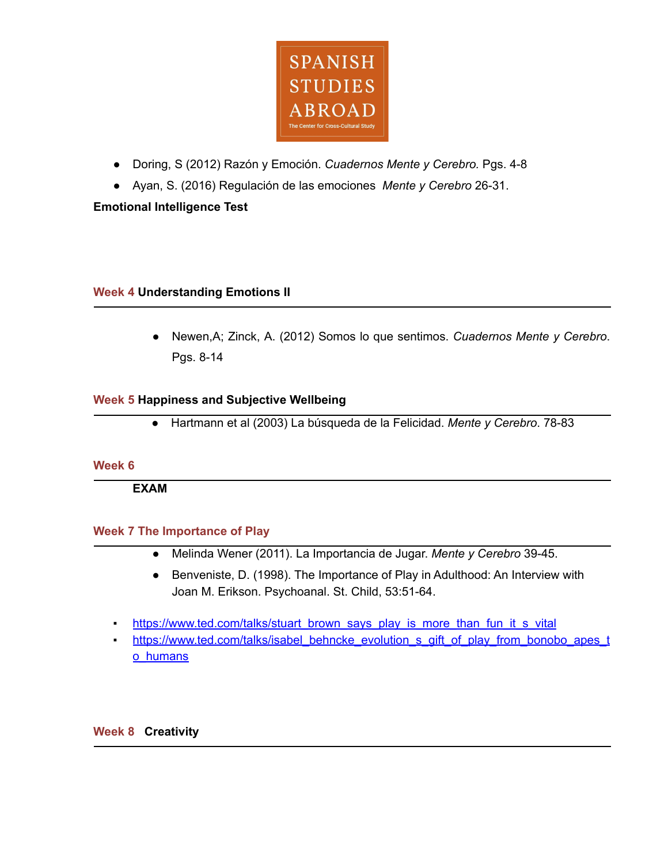

- Doring, S (2012) Razón y Emoción. *Cuadernos Mente y Cerebro.* Pgs. 4-8
- Ayan, S. (2016) Regulación de las emociones *Mente y Cerebro* 26-31.

# **Emotional Intelligence Test**

## **Week 4 Understanding Emotions II**

● Newen,A; Zinck, A. (2012) Somos lo que sentimos. *Cuadernos Mente y Cerebro*. Pgs. 8-14

## **Week 5 Happiness and Subjective Wellbeing**

● Hartmann et al (2003) La búsqueda de la Felicidad. *Mente y Cerebro*. 78-83

#### **Week 6**

**EXAM**

## **Week 7 The Importance of Play**

- Melinda Wener (2011). La Importancia de Jugar. *Mente y Cerebro* 39-45.
- Benveniste, D. (1998). The Importance of Play in Adulthood: An Interview with Joan M. Erikson. Psychoanal. St. Child, 53:51-64.
- [https://www.ted.com/talks/stuart\\_brown\\_says\\_play\\_is\\_more\\_than\\_fun\\_it\\_s\\_vital](https://www.ted.com/talks/stuart_brown_says_play_is_more_than_fun_it_s_vital)
- [https://www.ted.com/talks/isabel\\_behncke\\_evolution\\_s\\_gift\\_of\\_play\\_from\\_bonobo\\_apes\\_t](https://www.ted.com/talks/isabel_behncke_evolution_s_gift_of_play_from_bonobo_apes_to_humans) [o\\_humans](https://www.ted.com/talks/isabel_behncke_evolution_s_gift_of_play_from_bonobo_apes_to_humans)

#### **Week 8 Creativity**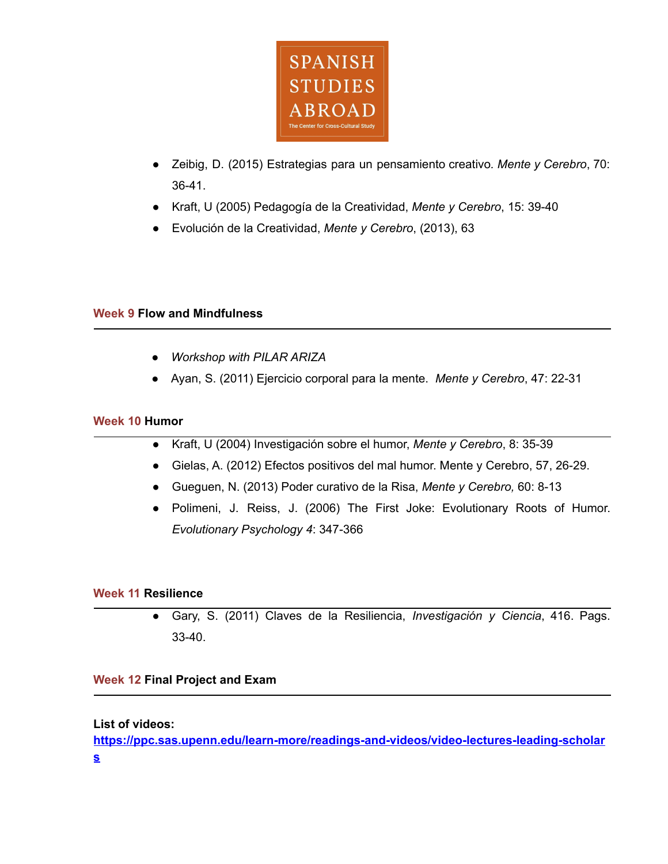

- Zeibig, D. (2015) Estrategias para un pensamiento creativo*. Mente y Cerebro*, 70: 36-41.
- Kraft, U (2005) Pedagogía de la Creatividad, *Mente y Cerebro*, 15: 39-40
- Evolución de la Creatividad, *Mente y Cerebro*, (2013), 63

### **Week 9 Flow and Mindfulness**

- *● Workshop with PILAR ARIZA*
- Ayan, S. (2011) Ejercicio corporal para la mente. *Mente y Cerebro*, 47: 22-31

#### **Week 10 Humor**

- Kraft, U (2004) Investigación sobre el humor, *Mente y Cerebro*, 8: 35-39
- Gielas, A. (2012) Efectos positivos del mal humor. Mente y Cerebro, 57, 26-29.
- Gueguen, N. (2013) Poder curativo de la Risa, *Mente y Cerebro,* 60: 8-13
- Polimeni, J. Reiss, J. (2006) The First Joke: Evolutionary Roots of Humor. *Evolutionary Psychology 4*: 347-366

#### **Week 11 Resilience**

● Gary, S. (2011) Claves de la Resiliencia, *Investigación y Ciencia*, 416. Pags. 33-40.

### **Week 12 Final Project and Exam**

#### **List of videos:**

**[https://ppc.sas.upenn.edu/learn-more/readings-and-videos/video-lectures-leading-scholar](https://ppc.sas.upenn.edu/learn-more/readings-and-videos/video-lectures-leading-scholars) [s](https://ppc.sas.upenn.edu/learn-more/readings-and-videos/video-lectures-leading-scholars)**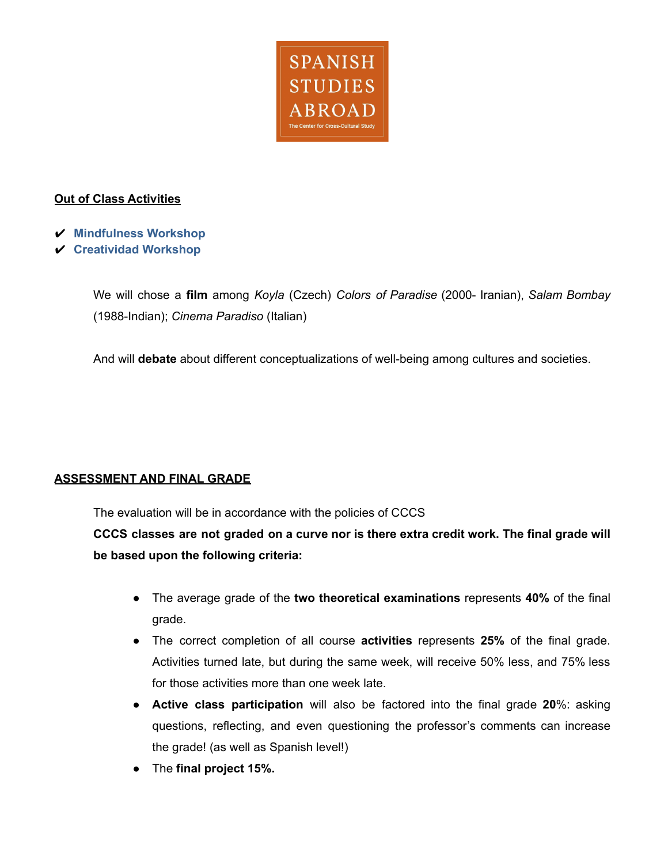

## **Out of Class Activities**

- ✔ **Mindfulness Workshop**
- ✔ **Creatividad Workshop**

We will chose a **film** among *Koyla* (Czech) *Colors of Paradise* (2000- Iranian), *Salam Bombay* (1988-Indian); *Cinema Paradiso* (Italian)

And will **debate** about different conceptualizations of well-being among cultures and societies.

## **ASSESSMENT AND FINAL GRADE**

The evaluation will be in accordance with the policies of CCCS

**CCCS classes are not graded on a curve nor is there extra credit work. The final grade will be based upon the following criteria:**

- The average grade of the **two theoretical examinations** represents **40%** of the final grade.
- The correct completion of all course **activities** represents **25%** of the final grade. Activities turned late, but during the same week, will receive 50% less, and 75% less for those activities more than one week late.
- **Active class participation** will also be factored into the final grade **20**%: asking questions, reflecting, and even questioning the professor's comments can increase the grade! (as well as Spanish level!)
- The **final project 15%.**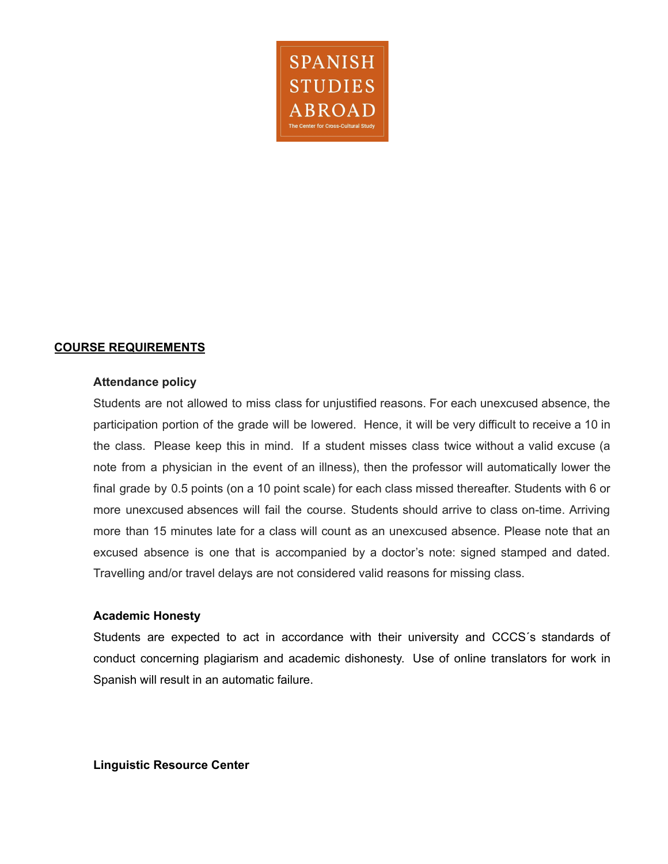

#### **COURSE REQUIREMENTS**

#### **Attendance policy**

Students are not allowed to miss class for unjustified reasons. For each unexcused absence, the participation portion of the grade will be lowered. Hence, it will be very difficult to receive a 10 in the class. Please keep this in mind. If a student misses class twice without a valid excuse (a note from a physician in the event of an illness), then the professor will automatically lower the final grade by 0.5 points (on a 10 point scale) for each class missed thereafter. Students with 6 or more unexcused absences will fail the course. Students should arrive to class on-time. Arriving more than 15 minutes late for a class will count as an unexcused absence. Please note that an excused absence is one that is accompanied by a doctor's note: signed stamped and dated. Travelling and/or travel delays are not considered valid reasons for missing class.

#### **Academic Honesty**

Students are expected to act in accordance with their university and CCCS´s standards of conduct concerning plagiarism and academic dishonesty. Use of online translators for work in Spanish will result in an automatic failure.

**Linguistic Resource Center**